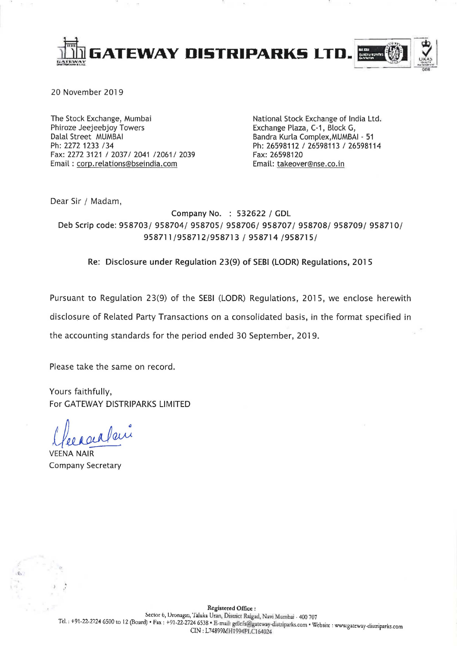

20 November 2019

The Stock Exchange, Mumbai Phiroze Jeejeebjoy Towers Dalal Street MUMBAI Ph: 2272 1233 /34 Fax: 2272 3121 / 2037/ 2041 /2061/ 2039 Email: corp.relations@bseindia.com

National Stock Exchange of India Ltd. Exchange Plaza, C-1, Block G, Bandra Kurla Complex, MUMBAI - 51 Ph: 26598112 / 26598113 / 26598114 Fax: 26598120 Email: takeover@nse.co.in

Dear Sir / Madam,

Company No. : 532622 / GDL Deb Scrip code: 958703/ 958704/ 958705/ 958706/ 958707/ 958708/ 958709/ 958710/ 958711/958712/958713 / 958714 /958715/

Re: Disclosure under Regulation 23(9) of SEBI (LODR) Regulations, 2015

Pursuant to Regulation 23(9) of the SEBI (LODR) Regulations, 2015, we enclose herewith disclosure of Related Party Transactions on a consolidated basis, in the format specified in

the accounting standards for the period ended 30 September, 2019.

Please take the same on record.

Yours faithfully, For GATEWAY DISTRIPARKS LIMITED

**VEENA NAIR Company Secretary**